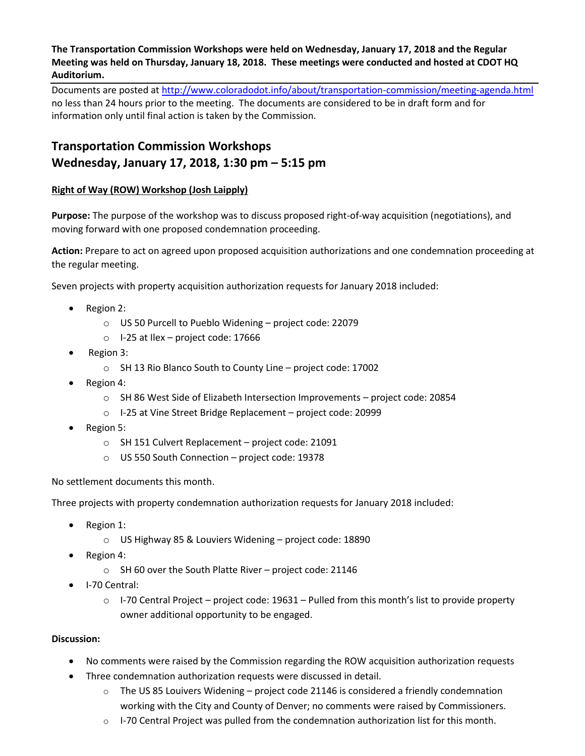**The Transportation Commission Workshops were held on Wednesday, January 17, 2018 and the Regular Meeting was held on Thursday, January 18, 2018. These meetings were conducted and hosted at CDOT HQ Auditorium.**

Documents are posted at http://www.coloradodot.info/about/transportation-commission/meeting-agenda.html no less than 24 hours prior to the meeting. The documents are considered to be in draft form and for information only until final action is taken by the Commission.

# **Transportation Commission Workshops Wednesday, January 17, 2018, 1:30 pm – 5:15 pm**

#### **Right of Way (ROW) Workshop (Josh Laipply)**

**Purpose:** The purpose of the workshop was to discuss proposed right-of-way acquisition (negotiations), and moving forward with one proposed condemnation proceeding.

**Action:** Prepare to act on agreed upon proposed acquisition authorizations and one condemnation proceeding at the regular meeting.

Seven projects with property acquisition authorization requests for January 2018 included:

- Region 2:
	- o US 50 Purcell to Pueblo Widening project code: 22079
	- o I-25 at Ilex project code: 17666
- Region 3:
	- o SH 13 Rio Blanco South to County Line project code: 17002
- Region 4:
	- o SH 86 West Side of Elizabeth Intersection Improvements project code: 20854
	- o I-25 at Vine Street Bridge Replacement project code: 20999
- Region 5:
	- o SH 151 Culvert Replacement project code: 21091
	- o US 550 South Connection project code: 19378

#### No settlement documents this month.

Three projects with property condemnation authorization requests for January 2018 included:

- Region 1:
	- o US Highway 85 & Louviers Widening project code: 18890
- Region 4:
	- o SH 60 over the South Platte River project code: 21146
- I-70 Central:
	- $\circ$  I-70 Central Project project code: 19631 Pulled from this month's list to provide property owner additional opportunity to be engaged.

- No comments were raised by the Commission regarding the ROW acquisition authorization requests
- Three condemnation authorization requests were discussed in detail.
	- $\circ$  The US 85 Louivers Widening project code 21146 is considered a friendly condemnation working with the City and County of Denver; no comments were raised by Commissioners.
	- $\circ$  I-70 Central Project was pulled from the condemnation authorization list for this month.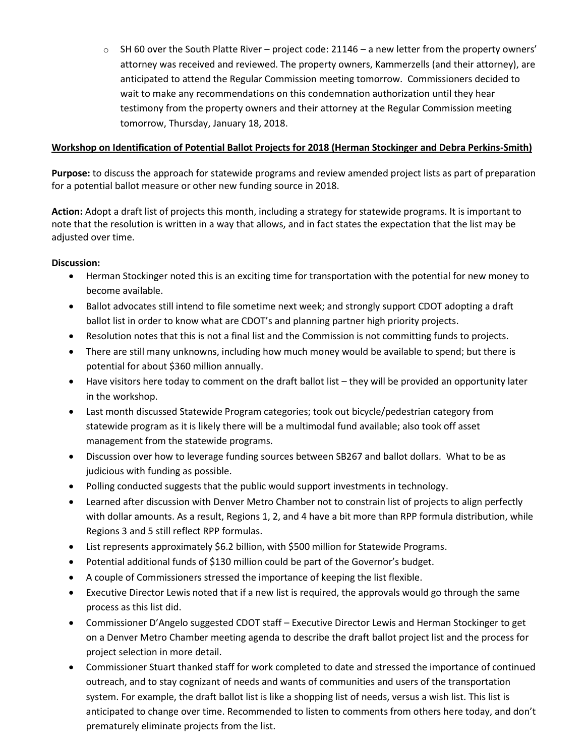$\circ$  SH 60 over the South Platte River – project code: 21146 – a new letter from the property owners' attorney was received and reviewed. The property owners, Kammerzells (and their attorney), are anticipated to attend the Regular Commission meeting tomorrow. Commissioners decided to wait to make any recommendations on this condemnation authorization until they hear testimony from the property owners and their attorney at the Regular Commission meeting tomorrow, Thursday, January 18, 2018.

#### **Workshop on Identification of Potential Ballot Projects for 2018 (Herman Stockinger and Debra Perkins-Smith)**

**Purpose:** to discuss the approach for statewide programs and review amended project lists as part of preparation for a potential ballot measure or other new funding source in 2018.

**Action:** Adopt a draft list of projects this month, including a strategy for statewide programs. It is important to note that the resolution is written in a way that allows, and in fact states the expectation that the list may be adjusted over time.

- Herman Stockinger noted this is an exciting time for transportation with the potential for new money to become available.
- Ballot advocates still intend to file sometime next week; and strongly support CDOT adopting a draft ballot list in order to know what are CDOT's and planning partner high priority projects.
- Resolution notes that this is not a final list and the Commission is not committing funds to projects.
- There are still many unknowns, including how much money would be available to spend; but there is potential for about \$360 million annually.
- Have visitors here today to comment on the draft ballot list they will be provided an opportunity later in the workshop.
- Last month discussed Statewide Program categories; took out bicycle/pedestrian category from statewide program as it is likely there will be a multimodal fund available; also took off asset management from the statewide programs.
- Discussion over how to leverage funding sources between SB267 and ballot dollars. What to be as judicious with funding as possible.
- Polling conducted suggests that the public would support investments in technology.
- Learned after discussion with Denver Metro Chamber not to constrain list of projects to align perfectly with dollar amounts. As a result, Regions 1, 2, and 4 have a bit more than RPP formula distribution, while Regions 3 and 5 still reflect RPP formulas.
- List represents approximately \$6.2 billion, with \$500 million for Statewide Programs.
- Potential additional funds of \$130 million could be part of the Governor's budget.
- A couple of Commissioners stressed the importance of keeping the list flexible.
- Executive Director Lewis noted that if a new list is required, the approvals would go through the same process as this list did.
- Commissioner D'Angelo suggested CDOT staff Executive Director Lewis and Herman Stockinger to get on a Denver Metro Chamber meeting agenda to describe the draft ballot project list and the process for project selection in more detail.
- Commissioner Stuart thanked staff for work completed to date and stressed the importance of continued outreach, and to stay cognizant of needs and wants of communities and users of the transportation system. For example, the draft ballot list is like a shopping list of needs, versus a wish list. This list is anticipated to change over time. Recommended to listen to comments from others here today, and don't prematurely eliminate projects from the list.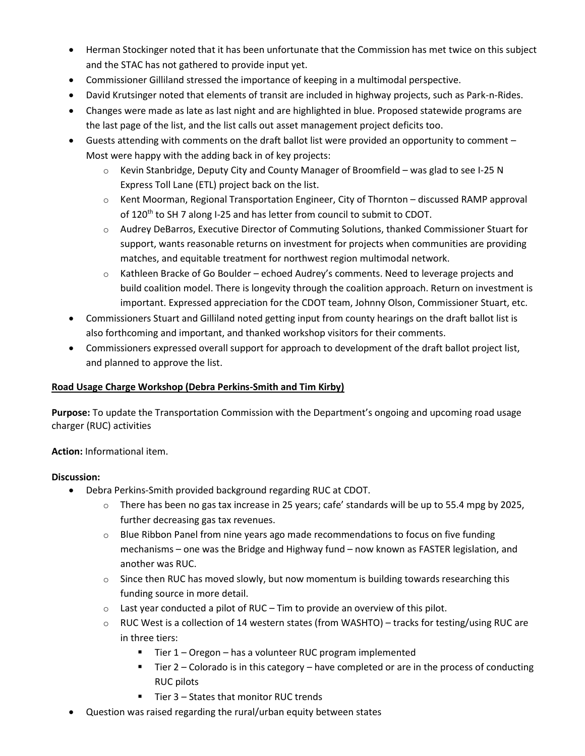- Herman Stockinger noted that it has been unfortunate that the Commission has met twice on this subject and the STAC has not gathered to provide input yet.
- Commissioner Gilliland stressed the importance of keeping in a multimodal perspective.
- David Krutsinger noted that elements of transit are included in highway projects, such as Park-n-Rides.
- Changes were made as late as last night and are highlighted in blue. Proposed statewide programs are the last page of the list, and the list calls out asset management project deficits too.
- Guests attending with comments on the draft ballot list were provided an opportunity to comment Most were happy with the adding back in of key projects:
	- $\circ$  Kevin Stanbridge, Deputy City and County Manager of Broomfield was glad to see I-25 N Express Toll Lane (ETL) project back on the list.
	- $\circ$  Kent Moorman, Regional Transportation Engineer, City of Thornton discussed RAMP approval of 120<sup>th</sup> to SH 7 along I-25 and has letter from council to submit to CDOT.
	- $\circ$  Audrey DeBarros, Executive Director of Commuting Solutions, thanked Commissioner Stuart for support, wants reasonable returns on investment for projects when communities are providing matches, and equitable treatment for northwest region multimodal network.
	- o Kathleen Bracke of Go Boulder echoed Audrey's comments. Need to leverage projects and build coalition model. There is longevity through the coalition approach. Return on investment is important. Expressed appreciation for the CDOT team, Johnny Olson, Commissioner Stuart, etc.
- Commissioners Stuart and Gilliland noted getting input from county hearings on the draft ballot list is also forthcoming and important, and thanked workshop visitors for their comments.
- Commissioners expressed overall support for approach to development of the draft ballot project list, and planned to approve the list.

#### **Road Usage Charge Workshop (Debra Perkins-Smith and Tim Kirby)**

**Purpose:** To update the Transportation Commission with the Department's ongoing and upcoming road usage charger (RUC) activities

**Action:** Informational item.

- Debra Perkins-Smith provided background regarding RUC at CDOT.
	- o There has been no gas tax increase in 25 years; cafe' standards will be up to 55.4 mpg by 2025, further decreasing gas tax revenues.
	- $\circ$  Blue Ribbon Panel from nine years ago made recommendations to focus on five funding mechanisms – one was the Bridge and Highway fund – now known as FASTER legislation, and another was RUC.
	- $\circ$  Since then RUC has moved slowly, but now momentum is building towards researching this funding source in more detail.
	- $\circ$  Last year conducted a pilot of RUC Tim to provide an overview of this pilot.
	- $\circ$  RUC West is a collection of 14 western states (from WASHTO) tracks for testing/using RUC are in three tiers:
		- $\blacksquare$  Tier 1 Oregon has a volunteer RUC program implemented
		- $\blacksquare$  Tier 2 Colorado is in this category have completed or are in the process of conducting RUC pilots
		- Tier 3 States that monitor RUC trends
- Question was raised regarding the rural/urban equity between states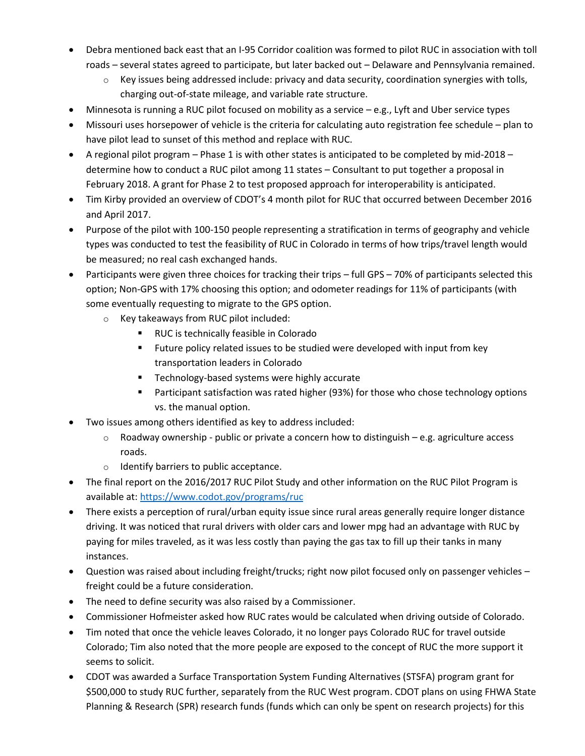- Debra mentioned back east that an I-95 Corridor coalition was formed to pilot RUC in association with toll roads – several states agreed to participate, but later backed out – Delaware and Pennsylvania remained.
	- Key issues being addressed include: privacy and data security, coordination synergies with tolls, charging out-of-state mileage, and variable rate structure.
- Minnesota is running a RUC pilot focused on mobility as a service e.g., Lyft and Uber service types
- Missouri uses horsepower of vehicle is the criteria for calculating auto registration fee schedule plan to have pilot lead to sunset of this method and replace with RUC.
- A regional pilot program Phase 1 is with other states is anticipated to be completed by mid-2018 determine how to conduct a RUC pilot among 11 states – Consultant to put together a proposal in February 2018. A grant for Phase 2 to test proposed approach for interoperability is anticipated.
- Tim Kirby provided an overview of CDOT's 4 month pilot for RUC that occurred between December 2016 and April 2017.
- Purpose of the pilot with 100-150 people representing a stratification in terms of geography and vehicle types was conducted to test the feasibility of RUC in Colorado in terms of how trips/travel length would be measured; no real cash exchanged hands.
- Participants were given three choices for tracking their trips full GPS 70% of participants selected this option; Non-GPS with 17% choosing this option; and odometer readings for 11% of participants (with some eventually requesting to migrate to the GPS option.
	- o Key takeaways from RUC pilot included:
		- RUC is technically feasible in Colorado
		- **Future policy related issues to be studied were developed with input from key** transportation leaders in Colorado
		- **Technology-based systems were highly accurate**
		- **Participant satisfaction was rated higher (93%) for those who chose technology options** vs. the manual option.
- Two issues among others identified as key to address included:
	- $\circ$  Roadway ownership public or private a concern how to distinguish e.g. agriculture access roads.
	- o Identify barriers to public acceptance.
- The final report on the 2016/2017 RUC Pilot Study and other information on the RUC Pilot Program is available at[: https://www.codot.gov/programs/ruc](https://www.codot.gov/programs/ruc)
- There exists a perception of rural/urban equity issue since rural areas generally require longer distance driving. It was noticed that rural drivers with older cars and lower mpg had an advantage with RUC by paying for miles traveled, as it was less costly than paying the gas tax to fill up their tanks in many instances.
- Question was raised about including freight/trucks; right now pilot focused only on passenger vehicles freight could be a future consideration.
- The need to define security was also raised by a Commissioner.
- Commissioner Hofmeister asked how RUC rates would be calculated when driving outside of Colorado.
- Tim noted that once the vehicle leaves Colorado, it no longer pays Colorado RUC for travel outside Colorado; Tim also noted that the more people are exposed to the concept of RUC the more support it seems to solicit.
- CDOT was awarded a Surface Transportation System Funding Alternatives (STSFA) program grant for \$500,000 to study RUC further, separately from the RUC West program. CDOT plans on using FHWA State Planning & Research (SPR) research funds (funds which can only be spent on research projects) for this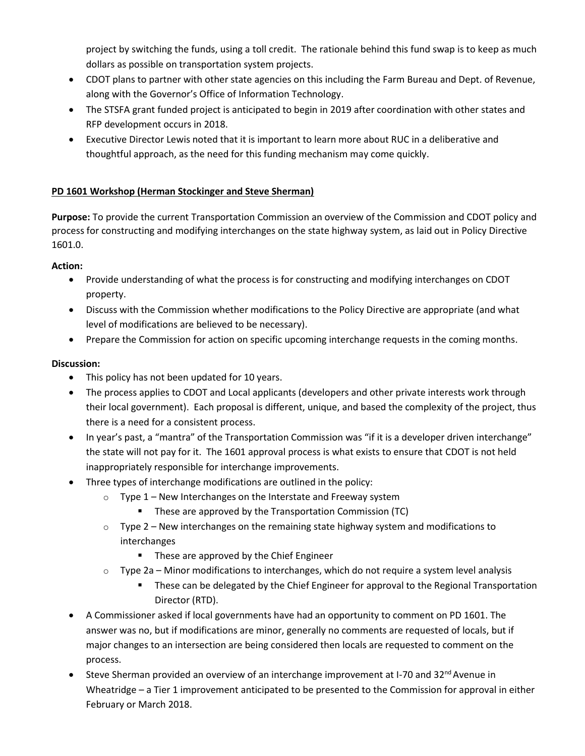project by switching the funds, using a toll credit. The rationale behind this fund swap is to keep as much dollars as possible on transportation system projects.

- CDOT plans to partner with other state agencies on this including the Farm Bureau and Dept. of Revenue, along with the Governor's Office of Information Technology.
- The STSFA grant funded project is anticipated to begin in 2019 after coordination with other states and RFP development occurs in 2018.
- Executive Director Lewis noted that it is important to learn more about RUC in a deliberative and thoughtful approach, as the need for this funding mechanism may come quickly.

# **PD 1601 Workshop (Herman Stockinger and Steve Sherman)**

**Purpose:** To provide the current Transportation Commission an overview of the Commission and CDOT policy and process for constructing and modifying interchanges on the state highway system, as laid out in Policy Directive 1601.0.

#### **Action:**

- Provide understanding of what the process is for constructing and modifying interchanges on CDOT property.
- Discuss with the Commission whether modifications to the Policy Directive are appropriate (and what level of modifications are believed to be necessary).
- Prepare the Commission for action on specific upcoming interchange requests in the coming months.

- This policy has not been updated for 10 years.
- The process applies to CDOT and Local applicants (developers and other private interests work through their local government). Each proposal is different, unique, and based the complexity of the project, thus there is a need for a consistent process.
- In year's past, a "mantra" of the Transportation Commission was "if it is a developer driven interchange" the state will not pay for it. The 1601 approval process is what exists to ensure that CDOT is not held inappropriately responsible for interchange improvements.
- Three types of interchange modifications are outlined in the policy:
	- $\circ$  Type 1 New Interchanges on the Interstate and Freeway system
		- **These are approved by the Transportation Commission (TC)**
	- $\circ$  Type 2 New interchanges on the remaining state highway system and modifications to interchanges
		- **These are approved by the Chief Engineer**
	- $\circ$  Type 2a Minor modifications to interchanges, which do not require a system level analysis
		- **These can be delegated by the Chief Engineer for approval to the Regional Transportation** Director (RTD).
- A Commissioner asked if local governments have had an opportunity to comment on PD 1601. The answer was no, but if modifications are minor, generally no comments are requested of locals, but if major changes to an intersection are being considered then locals are requested to comment on the process.
- Steve Sherman provided an overview of an interchange improvement at I-70 and  $32<sup>nd</sup>$  Avenue in Wheatridge – a Tier 1 improvement anticipated to be presented to the Commission for approval in either February or March 2018.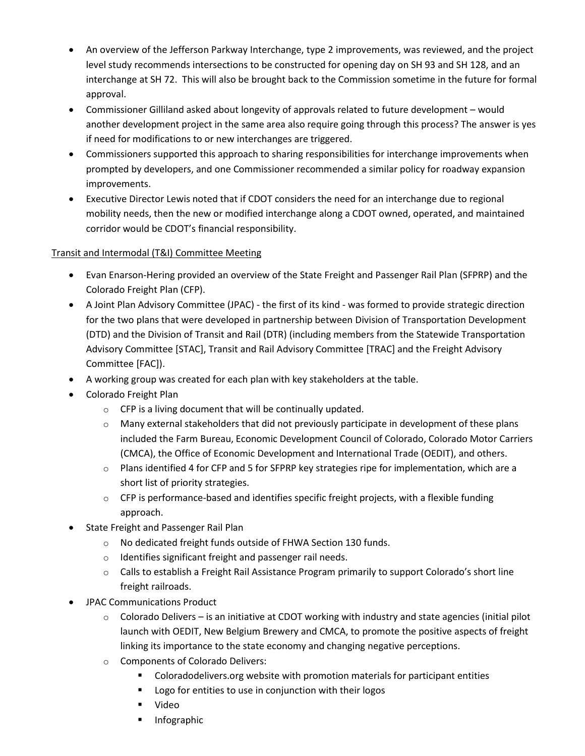- An overview of the Jefferson Parkway Interchange, type 2 improvements, was reviewed, and the project level study recommends intersections to be constructed for opening day on SH 93 and SH 128, and an interchange at SH 72. This will also be brought back to the Commission sometime in the future for formal approval.
- Commissioner Gilliland asked about longevity of approvals related to future development would another development project in the same area also require going through this process? The answer is yes if need for modifications to or new interchanges are triggered.
- Commissioners supported this approach to sharing responsibilities for interchange improvements when prompted by developers, and one Commissioner recommended a similar policy for roadway expansion improvements.
- Executive Director Lewis noted that if CDOT considers the need for an interchange due to regional mobility needs, then the new or modified interchange along a CDOT owned, operated, and maintained corridor would be CDOT's financial responsibility.

## Transit and Intermodal (T&I) Committee Meeting

- Evan Enarson-Hering provided an overview of the State Freight and Passenger Rail Plan (SFPRP) and the Colorado Freight Plan (CFP).
- A Joint Plan Advisory Committee (JPAC) the first of its kind was formed to provide strategic direction for the two plans that were developed in partnership between Division of Transportation Development (DTD) and the Division of Transit and Rail (DTR) (including members from the Statewide Transportation Advisory Committee [STAC], Transit and Rail Advisory Committee [TRAC] and the Freight Advisory Committee [FAC]).
- A working group was created for each plan with key stakeholders at the table.
- Colorado Freight Plan
	- o CFP is a living document that will be continually updated.
	- $\circ$  Many external stakeholders that did not previously participate in development of these plans included the Farm Bureau, Economic Development Council of Colorado, Colorado Motor Carriers (CMCA), the Office of Economic Development and International Trade (OEDIT), and others.
	- $\circ$  Plans identified 4 for CFP and 5 for SFPRP key strategies ripe for implementation, which are a short list of priority strategies.
	- $\circ$  CFP is performance-based and identifies specific freight projects, with a flexible funding approach.
- State Freight and Passenger Rail Plan
	- o No dedicated freight funds outside of FHWA Section 130 funds.
	- o Identifies significant freight and passenger rail needs.
	- o Calls to establish a Freight Rail Assistance Program primarily to support Colorado's short line freight railroads.
- JPAC Communications Product
	- $\circ$  Colorado Delivers is an initiative at CDOT working with industry and state agencies (initial pilot launch with OEDIT, New Belgium Brewery and CMCA, to promote the positive aspects of freight linking its importance to the state economy and changing negative perceptions.
	- o Components of Colorado Delivers:
		- **Coloradodelivers.org website with promotion materials for participant entities**
		- **Logo for entities to use in conjunction with their logos**
		- Video
		- **Infographic**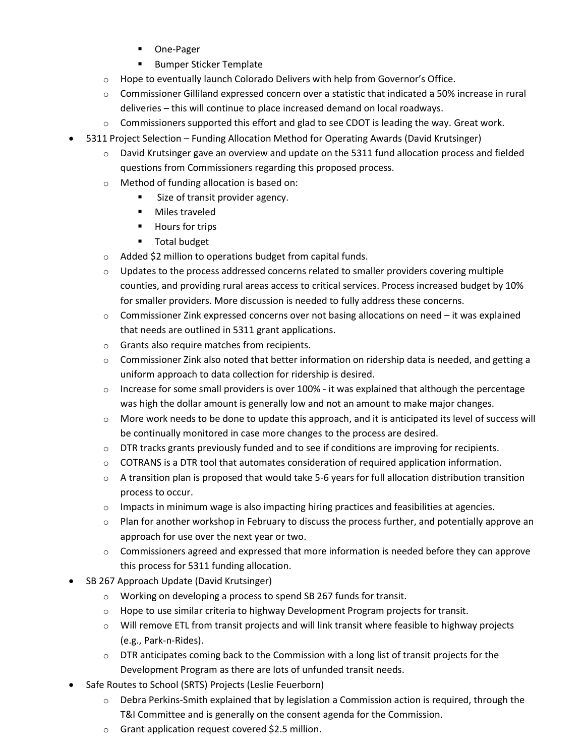- One-Pager
- **Bumper Sticker Template**
- o Hope to eventually launch Colorado Delivers with help from Governor's Office.
- $\circ$  Commissioner Gilliland expressed concern over a statistic that indicated a 50% increase in rural deliveries – this will continue to place increased demand on local roadways.
- $\circ$  Commissioners supported this effort and glad to see CDOT is leading the way. Great work.
- 5311 Project Selection Funding Allocation Method for Operating Awards (David Krutsinger)
	- $\circ$  David Krutsinger gave an overview and update on the 5311 fund allocation process and fielded questions from Commissioners regarding this proposed process.
	- o Method of funding allocation is based on:
		- Size of transit provider agency.
		- **Niles traveled**
		- **Hours for trips**
		- **Total budget**
	- o Added \$2 million to operations budget from capital funds.
	- $\circ$  Updates to the process addressed concerns related to smaller providers covering multiple counties, and providing rural areas access to critical services. Process increased budget by 10% for smaller providers. More discussion is needed to fully address these concerns.
	- $\circ$  Commissioner Zink expressed concerns over not basing allocations on need it was explained that needs are outlined in 5311 grant applications.
	- o Grants also require matches from recipients.
	- o Commissioner Zink also noted that better information on ridership data is needed, and getting a uniform approach to data collection for ridership is desired.
	- $\circ$  Increase for some small providers is over 100% it was explained that although the percentage was high the dollar amount is generally low and not an amount to make major changes.
	- $\circ$  More work needs to be done to update this approach, and it is anticipated its level of success will be continually monitored in case more changes to the process are desired.
	- $\circ$  DTR tracks grants previously funded and to see if conditions are improving for recipients.
	- $\circ$  COTRANS is a DTR tool that automates consideration of required application information.
	- o A transition plan is proposed that would take 5-6 years for full allocation distribution transition process to occur.
	- $\circ$  Impacts in minimum wage is also impacting hiring practices and feasibilities at agencies.
	- $\circ$  Plan for another workshop in February to discuss the process further, and potentially approve an approach for use over the next year or two.
	- $\circ$  Commissioners agreed and expressed that more information is needed before they can approve this process for 5311 funding allocation.
- SB 267 Approach Update (David Krutsinger)
	- o Working on developing a process to spend SB 267 funds for transit.
	- $\circ$  Hope to use similar criteria to highway Development Program projects for transit.
	- $\circ$  Will remove ETL from transit projects and will link transit where feasible to highway projects (e.g., Park-n-Rides).
	- $\circ$  DTR anticipates coming back to the Commission with a long list of transit projects for the Development Program as there are lots of unfunded transit needs.
- Safe Routes to School (SRTS) Projects (Leslie Feuerborn)
	- $\circ$  Debra Perkins-Smith explained that by legislation a Commission action is required, through the T&I Committee and is generally on the consent agenda for the Commission.
	- o Grant application request covered \$2.5 million.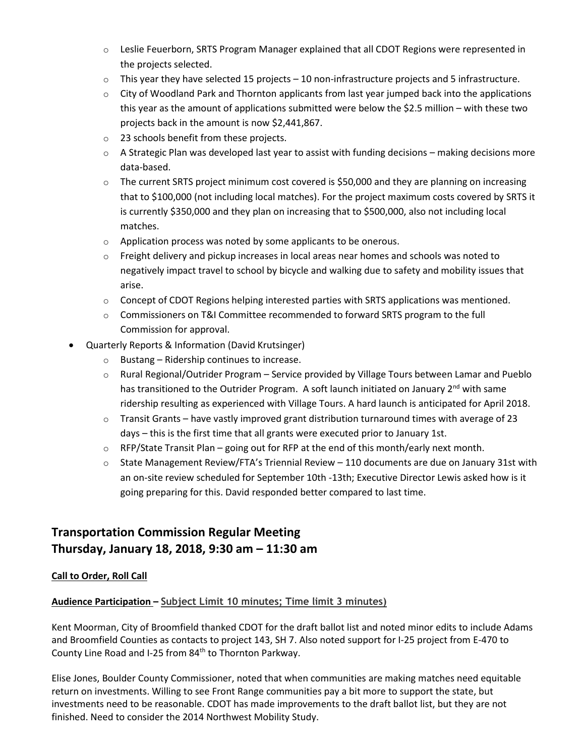- o Leslie Feuerborn, SRTS Program Manager explained that all CDOT Regions were represented in the projects selected.
- $\circ$  This year they have selected 15 projects 10 non-infrastructure projects and 5 infrastructure.
- $\circ$  City of Woodland Park and Thornton applicants from last year jumped back into the applications this year as the amount of applications submitted were below the \$2.5 million – with these two projects back in the amount is now \$2,441,867.
- o 23 schools benefit from these projects.
- $\circ$  A Strategic Plan was developed last year to assist with funding decisions making decisions more data-based.
- $\circ$  The current SRTS project minimum cost covered is \$50,000 and they are planning on increasing that to \$100,000 (not including local matches). For the project maximum costs covered by SRTS it is currently \$350,000 and they plan on increasing that to \$500,000, also not including local matches.
- o Application process was noted by some applicants to be onerous.
- $\circ$  Freight delivery and pickup increases in local areas near homes and schools was noted to negatively impact travel to school by bicycle and walking due to safety and mobility issues that arise.
- $\circ$  Concept of CDOT Regions helping interested parties with SRTS applications was mentioned.
- $\circ$  Commissioners on T&I Committee recommended to forward SRTS program to the full Commission for approval.
- Quarterly Reports & Information (David Krutsinger)
	- o Bustang Ridership continues to increase.
	- $\circ$  Rural Regional/Outrider Program Service provided by Village Tours between Lamar and Pueblo has transitioned to the Outrider Program. A soft launch initiated on January 2<sup>nd</sup> with same ridership resulting as experienced with Village Tours. A hard launch is anticipated for April 2018.
	- $\circ$  Transit Grants have vastly improved grant distribution turnaround times with average of 23 days – this is the first time that all grants were executed prior to January 1st.
	- $\circ$  RFP/State Transit Plan going out for RFP at the end of this month/early next month.
	- $\circ$  State Management Review/FTA's Triennial Review 110 documents are due on January 31st with an on-site review scheduled for September 10th -13th; Executive Director Lewis asked how is it going preparing for this. David responded better compared to last time.

# **Transportation Commission Regular Meeting Thursday, January 18, 2018, 9:30 am – 11:30 am**

#### **Call to Order, Roll Call**

# **Audience Participation – Subject Limit 10 minutes; Time limit 3 minutes)**

Kent Moorman, City of Broomfield thanked CDOT for the draft ballot list and noted minor edits to include Adams and Broomfield Counties as contacts to project 143, SH 7. Also noted support for I-25 project from E-470 to County Line Road and I-25 from 84<sup>th</sup> to Thornton Parkway.

Elise Jones, Boulder County Commissioner, noted that when communities are making matches need equitable return on investments. Willing to see Front Range communities pay a bit more to support the state, but investments need to be reasonable. CDOT has made improvements to the draft ballot list, but they are not finished. Need to consider the 2014 Northwest Mobility Study.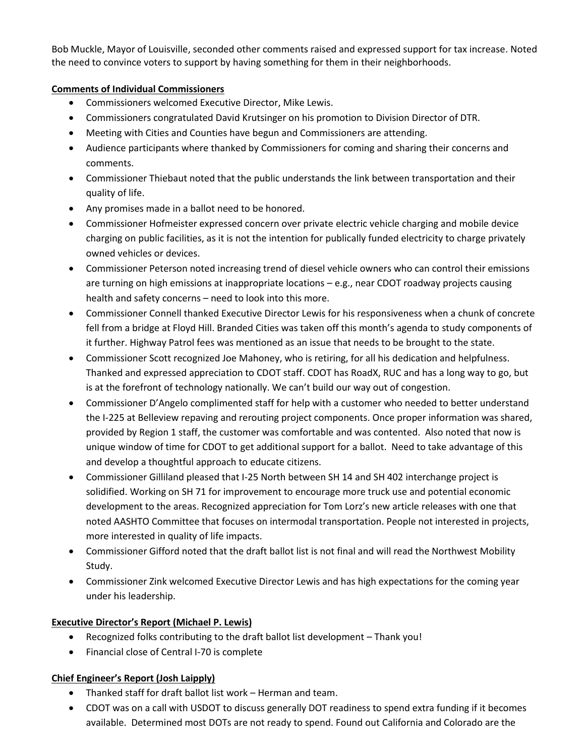Bob Muckle, Mayor of Louisville, seconded other comments raised and expressed support for tax increase. Noted the need to convince voters to support by having something for them in their neighborhoods.

### **Comments of Individual Commissioners**

- Commissioners welcomed Executive Director, Mike Lewis.
- Commissioners congratulated David Krutsinger on his promotion to Division Director of DTR.
- Meeting with Cities and Counties have begun and Commissioners are attending.
- Audience participants where thanked by Commissioners for coming and sharing their concerns and comments.
- Commissioner Thiebaut noted that the public understands the link between transportation and their quality of life.
- Any promises made in a ballot need to be honored.
- Commissioner Hofmeister expressed concern over private electric vehicle charging and mobile device charging on public facilities, as it is not the intention for publically funded electricity to charge privately owned vehicles or devices.
- Commissioner Peterson noted increasing trend of diesel vehicle owners who can control their emissions are turning on high emissions at inappropriate locations – e.g., near CDOT roadway projects causing health and safety concerns – need to look into this more.
- Commissioner Connell thanked Executive Director Lewis for his responsiveness when a chunk of concrete fell from a bridge at Floyd Hill. Branded Cities was taken off this month's agenda to study components of it further. Highway Patrol fees was mentioned as an issue that needs to be brought to the state.
- Commissioner Scott recognized Joe Mahoney, who is retiring, for all his dedication and helpfulness. Thanked and expressed appreciation to CDOT staff. CDOT has RoadX, RUC and has a long way to go, but is at the forefront of technology nationally. We can't build our way out of congestion.
- Commissioner D'Angelo complimented staff for help with a customer who needed to better understand the I-225 at Belleview repaving and rerouting project components. Once proper information was shared, provided by Region 1 staff, the customer was comfortable and was contented. Also noted that now is unique window of time for CDOT to get additional support for a ballot. Need to take advantage of this and develop a thoughtful approach to educate citizens.
- Commissioner Gilliland pleased that I-25 North between SH 14 and SH 402 interchange project is solidified. Working on SH 71 for improvement to encourage more truck use and potential economic development to the areas. Recognized appreciation for Tom Lorz's new article releases with one that noted AASHTO Committee that focuses on intermodal transportation. People not interested in projects, more interested in quality of life impacts.
- Commissioner Gifford noted that the draft ballot list is not final and will read the Northwest Mobility Study.
- Commissioner Zink welcomed Executive Director Lewis and has high expectations for the coming year under his leadership.

#### **Executive Director's Report (Michael P. Lewis)**

- Recognized folks contributing to the draft ballot list development Thank you!
- Financial close of Central I-70 is complete

#### **Chief Engineer's Report (Josh Laipply)**

- Thanked staff for draft ballot list work Herman and team.
- CDOT was on a call with USDOT to discuss generally DOT readiness to spend extra funding if it becomes available. Determined most DOTs are not ready to spend. Found out California and Colorado are the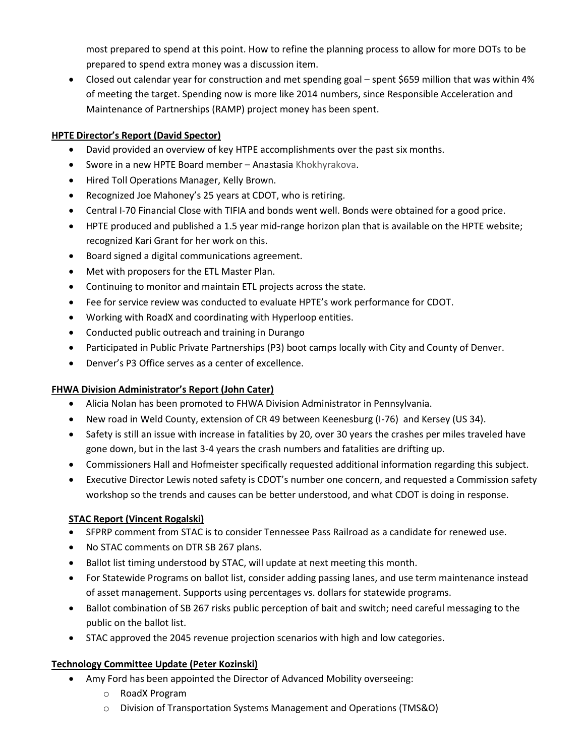most prepared to spend at this point. How to refine the planning process to allow for more DOTs to be prepared to spend extra money was a discussion item.

 Closed out calendar year for construction and met spending goal – spent \$659 million that was within 4% of meeting the target. Spending now is more like 2014 numbers, since Responsible Acceleration and Maintenance of Partnerships (RAMP) project money has been spent.

## **HPTE Director's Report (David Spector)**

- David provided an overview of key HTPE accomplishments over the past six months.
- Swore in a new HPTE Board member Anastasia Khokhyrakova.
- Hired Toll Operations Manager, Kelly Brown.
- Recognized Joe Mahoney's 25 years at CDOT, who is retiring.
- Central I-70 Financial Close with TIFIA and bonds went well. Bonds were obtained for a good price.
- HPTE produced and published a 1.5 year mid-range horizon plan that is available on the HPTE website; recognized Kari Grant for her work on this.
- Board signed a digital communications agreement.
- Met with proposers for the ETL Master Plan.
- Continuing to monitor and maintain ETL projects across the state.
- Fee for service review was conducted to evaluate HPTE's work performance for CDOT.
- Working with RoadX and coordinating with Hyperloop entities.
- Conducted public outreach and training in Durango
- Participated in Public Private Partnerships (P3) boot camps locally with City and County of Denver.
- Denver's P3 Office serves as a center of excellence.

#### **FHWA Division Administrator's Report (John Cater)**

- Alicia Nolan has been promoted to FHWA Division Administrator in Pennsylvania.
- New road in Weld County, extension of CR 49 between Keenesburg (I-76) and Kersey (US 34).
- Safety is still an issue with increase in fatalities by 20, over 30 years the crashes per miles traveled have gone down, but in the last 3-4 years the crash numbers and fatalities are drifting up.
- Commissioners Hall and Hofmeister specifically requested additional information regarding this subject.
- Executive Director Lewis noted safety is CDOT's number one concern, and requested a Commission safety workshop so the trends and causes can be better understood, and what CDOT is doing in response.

#### **STAC Report (Vincent Rogalski)**

- SFPRP comment from STAC is to consider Tennessee Pass Railroad as a candidate for renewed use.
- No STAC comments on DTR SB 267 plans.
- Ballot list timing understood by STAC, will update at next meeting this month.
- For Statewide Programs on ballot list, consider adding passing lanes, and use term maintenance instead of asset management. Supports using percentages vs. dollars for statewide programs.
- Ballot combination of SB 267 risks public perception of bait and switch; need careful messaging to the public on the ballot list.
- STAC approved the 2045 revenue projection scenarios with high and low categories.

#### **Technology Committee Update (Peter Kozinski)**

- Amy Ford has been appointed the Director of Advanced Mobility overseeing:
	- o RoadX Program
	- o Division of Transportation Systems Management and Operations (TMS&O)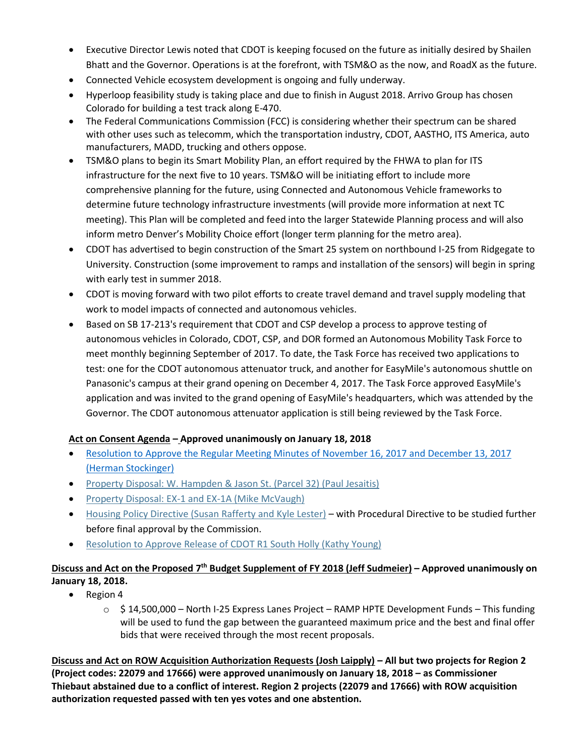- Executive Director Lewis noted that CDOT is keeping focused on the future as initially desired by Shailen Bhatt and the Governor. Operations is at the forefront, with TSM&O as the now, and RoadX as the future.
- Connected Vehicle ecosystem development is ongoing and fully underway.
- Hyperloop feasibility study is taking place and due to finish in August 2018. Arrivo Group has chosen Colorado for building a test track along E-470.
- The Federal Communications Commission (FCC) is considering whether their spectrum can be shared with other uses such as telecomm, which the transportation industry, CDOT, AASTHO, ITS America, auto manufacturers, MADD, trucking and others oppose.
- TSM&O plans to begin its Smart Mobility Plan, an effort required by the FHWA to plan for ITS infrastructure for the next five to 10 years. TSM&O will be initiating effort to include more comprehensive planning for the future, using Connected and Autonomous Vehicle frameworks to determine future technology infrastructure investments (will provide more information at next TC meeting). This Plan will be completed and feed into the larger Statewide Planning process and will also inform metro Denver's Mobility Choice effort (longer term planning for the metro area).
- CDOT has advertised to begin construction of the Smart 25 system on northbound I-25 from Ridgegate to University. Construction (some improvement to ramps and installation of the sensors) will begin in spring with early test in summer 2018.
- CDOT is moving forward with two pilot efforts to create travel demand and travel supply modeling that work to model impacts of connected and autonomous vehicles.
- Based on SB 17-213's requirement that CDOT and CSP develop a process to approve testing of autonomous vehicles in Colorado, CDOT, CSP, and DOR formed an Autonomous Mobility Task Force to meet monthly beginning September of 2017. To date, the Task Force has received two applications to test: one for the CDOT autonomous attenuator truck, and another for EasyMile's autonomous shuttle on Panasonic's campus at their grand opening on December 4, 2017. The Task Force approved EasyMile's application and was invited to the grand opening of EasyMile's headquarters, which was attended by the Governor. The CDOT autonomous attenuator application is still being reviewed by the Task Force.

#### **Act on Consent Agenda – Approved unanimously on January 18, 2018**

- [Resolution to Approve the Regular Meeting Minutes of November 16, 2017 and December](https://www.codot.gov/about/transportation-commission/documents/2018-agendas-and-supporting-documents/january-2018/base-packet/6-consent-agenda.pdf) 13, 2017 [\(Herman Stockinger\)](https://www.codot.gov/about/transportation-commission/documents/2018-agendas-and-supporting-documents/january-2018/base-packet/6-consent-agenda.pdf)
- [Property Disposal: W. Hampden & Jason St. \(Parcel](https://www.codot.gov/about/transportation-commission/documents/2018-agendas-and-supporting-documents/january-2018/base-packet/6-consent-agenda.pdf) 32) (Paul Jesaitis)
- [Property Disposal: EX-1 and EX-1A \(Mike McVaugh\)](https://www.codot.gov/about/transportation-commission/documents/2018-agendas-and-supporting-documents/january-2018/base-packet/6-consent-agenda.pdf)
- [Housing Policy Directive \(Susan Rafferty and Kyle Lester\)](https://www.codot.gov/about/transportation-commission/documents/2018-agendas-and-supporting-documents/january-2018/base-packet/6-consent-agenda.pdf) with Procedural Directive to be studied further before final approval by the Commission.
- Resolution to Approve [Release of CDOT R1 South Holly \(Kathy Young\)](https://www.codot.gov/about/transportation-commission/documents/2018-agendas-and-supporting-documents/january-2018/base-packet/6-consent-agenda.pdf)

# **Discuss and Act on the Proposed 7 th Budget Supplement of FY 2018 (Jeff Sudmeier) – Approved unanimously on January 18, 2018.**

- $\bullet$  Region 4
	- $\circ$  \$ 14,500,000 North I-25 Express Lanes Project RAMP HPTE Development Funds This funding will be used to fund the gap between the guaranteed maximum price and the best and final offer bids that were received through the most recent proposals.

**Discuss and Act on ROW Acquisition Authorization Requests (Josh Laipply) – All but two projects for Region 2 (Project codes: 22079 and 17666) were approved unanimously on January 18, 2018 – as Commissioner Thiebaut abstained due to a conflict of interest. Region 2 projects (22079 and 17666) with ROW acquisition authorization requested passed with ten yes votes and one abstention.**